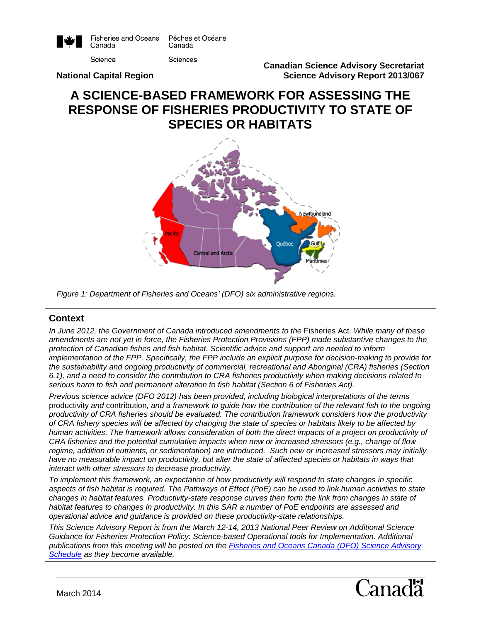

# **A SCIENCE-BASED FRAMEWORK FOR ASSESSING THE RESPONSE OF FISHERIES PRODUCTIVITY TO STATE OF SPECIES OR HABITATS**



*Figure 1: Department of Fisheries and Oceans' (DFO) six administrative regions.*

### **Context**

*In June 2012, the Government of Canada introduced amendments to the Fisheries Act. While many of these amendments are not yet in force, the Fisheries Protection Provisions (FPP) made substantive changes to the protection of Canadian fishes and fish habitat. Scientific advice and support are needed to inform implementation of the FPP. Specifically, the FPP include an explicit purpose for decision-making to provide for the sustainability and ongoing productivity of commercial, recreational and Aboriginal (CRA) fisheries (Section 6.1), and a need to consider the contribution to CRA fisheries productivity when making decisions related to serious harm to fish and permanent alteration to fish habitat (Section 6 of Fisheries Act).* 

*Previous science advice (DFO 2012) has been provided, including biological interpretations of the terms*  productivity *and* contribution*, and a framework to guide how the contribution of the relevant fish to the ongoing productivity of CRA fisheries should be evaluated. The contribution framework considers how the productivity of CRA fishery species will be affected by changing the state of species or habitats likely to be affected by human activities. The framework allows consideration of both the direct impacts of a project on productivity of CRA fisheries and the potential cumulative impacts when new or increased stressors (e.g., change of flow regime, addition of nutrients, or sedimentation) are introduced. Such new or increased stressors may initially*  have no measurable impact on productivity, but alter the state of affected species or habitats in ways that *interact with other stressors to decrease productivity.* 

*To implement this framework, an expectation of how productivity will respond to state changes in specific aspects of fish habitat is required. The Pathways of Effect (PoE) can be used to link human activities to state changes in habitat features. Productivity-state response curves then form the link from changes in state of habitat features to changes in productivity. In this SAR a number of PoE endpoints are assessed and operational advice and guidance is provided on these productivity-state relationships.*

*This Science Advisory Report is from the March 12-14, 2013 National Peer Review on Additional Science Guidance for Fisheries Protection Policy: Science-based Operational tools for Implementation. Additional publications from this meeting will be posted on the [Fisheries and Oceans Canada \(DFO\) Science Advisory](http://www.isdm-gdsi.gc.ca/csas-sccs/applications/events-evenements/index-eng.asp)  [Schedule](http://www.isdm-gdsi.gc.ca/csas-sccs/applications/events-evenements/index-eng.asp) as they become available.*

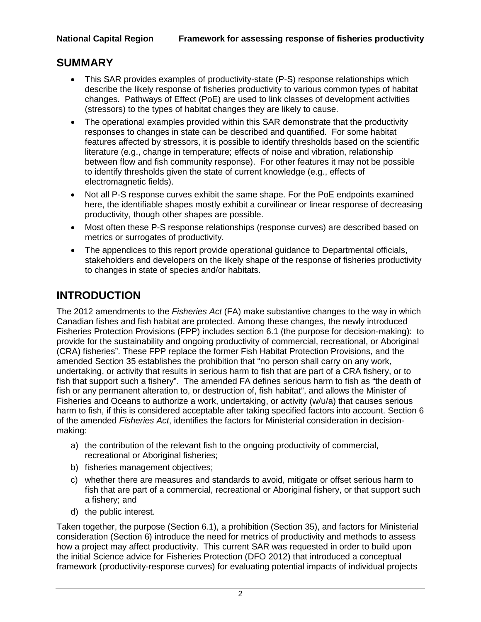# **SUMMARY**

- This SAR provides examples of productivity-state (P-S) response relationships which describe the likely response of fisheries productivity to various common types of habitat changes. Pathways of Effect (PoE) are used to link classes of development activities (stressors) to the types of habitat changes they are likely to cause.
- The operational examples provided within this SAR demonstrate that the productivity responses to changes in state can be described and quantified. For some habitat features affected by stressors, it is possible to identify thresholds based on the scientific literature (e.g., change in temperature; effects of noise and vibration, relationship between flow and fish community response). For other features it may not be possible to identify thresholds given the state of current knowledge (e.g., effects of electromagnetic fields).
- Not all P-S response curves exhibit the same shape. For the PoE endpoints examined here, the identifiable shapes mostly exhibit a curvilinear or linear response of decreasing productivity, though other shapes are possible.
- Most often these P-S response relationships (response curves) are described based on metrics or surrogates of productivity.
- The appendices to this report provide operational guidance to Departmental officials, stakeholders and developers on the likely shape of the response of fisheries productivity to changes in state of species and/or habitats.

# **INTRODUCTION**

The 2012 amendments to the *Fisheries Act* (FA) make substantive changes to the way in which Canadian fishes and fish habitat are protected. Among these changes, the newly introduced Fisheries Protection Provisions (FPP) includes section 6.1 (the purpose for decision-making): to provide for the sustainability and ongoing productivity of commercial, recreational, or Aboriginal (CRA) fisheries". These FPP replace the former Fish Habitat Protection Provisions, and the amended Section 35 establishes the prohibition that "no person shall carry on any work, undertaking, or activity that results in serious harm to fish that are part of a CRA fishery, or to fish that support such a fishery". The amended FA defines serious harm to fish as "the death of fish or any permanent alteration to, or destruction of, fish habitat", and allows the Minister of Fisheries and Oceans to authorize a work, undertaking, or activity (w/u/a) that causes serious harm to fish, if this is considered acceptable after taking specified factors into account. Section 6 of the amended *Fisheries Act*, identifies the factors for Ministerial consideration in decisionmaking:

- a) the contribution of the relevant fish to the ongoing productivity of commercial, recreational or Aboriginal fisheries;
- b) fisheries management objectives;
- c) whether there are measures and standards to avoid, mitigate or offset serious harm to fish that are part of a commercial, recreational or Aboriginal fishery, or that support such a fishery; and
- d) the public interest.

Taken together, the purpose (Section 6.1), a prohibition (Section 35), and factors for Ministerial consideration (Section 6) introduce the need for metrics of productivity and methods to assess how a project may affect productivity. This current SAR was requested in order to build upon the initial Science advice for Fisheries Protection (DFO 2012) that introduced a conceptual framework (productivity-response curves) for evaluating potential impacts of individual projects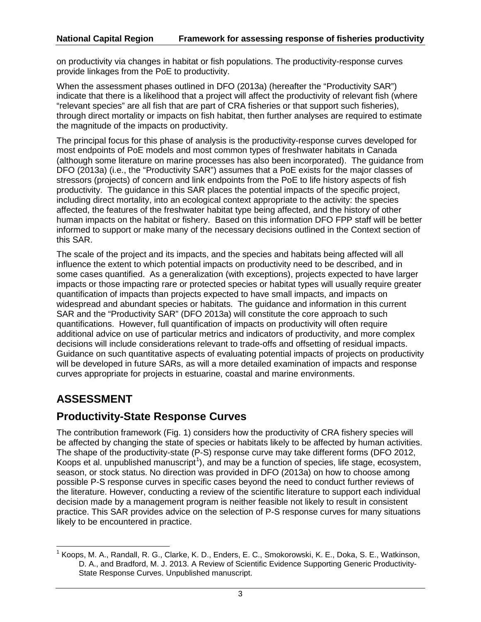on productivity via changes in habitat or fish populations. The productivity-response curves provide linkages from the PoE to productivity.

When the assessment phases outlined in DFO (2013a) (hereafter the "Productivity SAR") indicate that there is a likelihood that a project will affect the productivity of relevant fish (where "relevant species" are all fish that are part of CRA fisheries or that support such fisheries), through direct mortality or impacts on fish habitat, then further analyses are required to estimate the magnitude of the impacts on productivity.

The principal focus for this phase of analysis is the productivity-response curves developed for most endpoints of PoE models and most common types of freshwater habitats in Canada (although some literature on marine processes has also been incorporated). The guidance from DFO (2013a) (i.e., the "Productivity SAR") assumes that a PoE exists for the major classes of stressors (projects) of concern and link endpoints from the PoE to life history aspects of fish productivity. The guidance in this SAR places the potential impacts of the specific project, including direct mortality, into an ecological context appropriate to the activity: the species affected, the features of the freshwater habitat type being affected, and the history of other human impacts on the habitat or fishery. Based on this information DFO FPP staff will be better informed to support or make many of the necessary decisions outlined in the Context section of this SAR.

The scale of the project and its impacts, and the species and habitats being affected will all influence the extent to which potential impacts on productivity need to be described, and in some cases quantified. As a generalization (with exceptions), projects expected to have larger impacts or those impacting rare or protected species or habitat types will usually require greater quantification of impacts than projects expected to have small impacts, and impacts on widespread and abundant species or habitats. The guidance and information in this current SAR and the "Productivity SAR" (DFO 2013a) will constitute the core approach to such quantifications. However, full quantification of impacts on productivity will often require additional advice on use of particular metrics and indicators of productivity, and more complex decisions will include considerations relevant to trade-offs and offsetting of residual impacts. Guidance on such quantitative aspects of evaluating potential impacts of projects on productivity will be developed in future SARs, as will a more detailed examination of impacts and response curves appropriate for projects in estuarine, coastal and marine environments.

# **ASSESSMENT**

# **Productivity-State Response Curves**

The contribution framework (Fig. 1) considers how the productivity of CRA fishery species will be affected by changing the state of species or habitats likely to be affected by human activities. The shape of the productivity-state (P-S) response curve may take different forms (DFO 2012, Koops et al. unpublished manuscript<sup>[1](#page-2-0)</sup>), and may be a function of species, life stage, ecosystem, season, or stock status. No direction was provided in DFO (2013a) on how to choose among possible P-S response curves in specific cases beyond the need to conduct further reviews of the literature. However, conducting a review of the scientific literature to support each individual decision made by a management program is neither feasible not likely to result in consistent practice. This SAR provides advice on the selection of P-S response curves for many situations likely to be encountered in practice.

<span id="page-2-0"></span> <sup>1</sup> Koops, M. A., Randall, R. G., Clarke, K. D., Enders, E. C., Smokorowski, K. E., Doka, S. E., Watkinson, D. A., and Bradford, M. J. 2013. A Review of Scientific Evidence Supporting Generic Productivity-State Response Curves. Unpublished manuscript.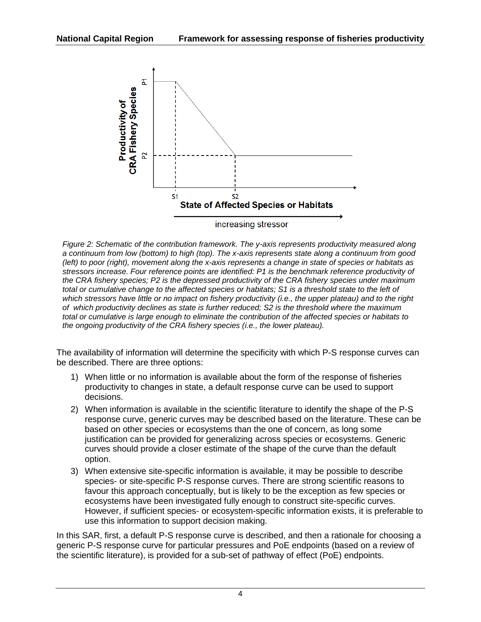

*Figure 2: Schematic of the contribution framework. The y-axis represents productivity measured along a continuum from low (bottom) to high (top). The x-axis represents state along a continuum from good (left) to poor (right), movement along the x-axis represents a change in state of species or habitats as stressors increase. Four reference points are identified: P1 is the benchmark reference productivity of the CRA fishery species; P2 is the depressed productivity of the CRA fishery species under maximum total or cumulative change to the affected species or habitats; S1 is a threshold state to the left of which stressors have little or no impact on fishery productivity (i.e., the upper plateau) and to the right of which productivity declines as state is further reduced; S2 is the threshold where the maximum total or cumulative is large enough to eliminate the contribution of the affected species or habitats to the ongoing productivity of the CRA fishery species (i.e., the lower plateau).*

The availability of information will determine the specificity with which P-S response curves can be described. There are three options:

- 1) When little or no information is available about the form of the response of fisheries productivity to changes in state, a default response curve can be used to support decisions.
- 2) When information is available in the scientific literature to identify the shape of the P-S response curve, generic curves may be described based on the literature. These can be based on other species or ecosystems than the one of concern, as long some justification can be provided for generalizing across species or ecosystems. Generic curves should provide a closer estimate of the shape of the curve than the default option.
- 3) When extensive site-specific information is available, it may be possible to describe species- or site-specific P-S response curves. There are strong scientific reasons to favour this approach conceptually, but is likely to be the exception as few species or ecosystems have been investigated fully enough to construct site-specific curves. However, if sufficient species- or ecosystem-specific information exists, it is preferable to use this information to support decision making.

In this SAR, first, a default P-S response curve is described, and then a rationale for choosing a generic P-S response curve for particular pressures and PoE endpoints (based on a review of the scientific literature), is provided for a sub-set of pathway of effect (PoE) endpoints.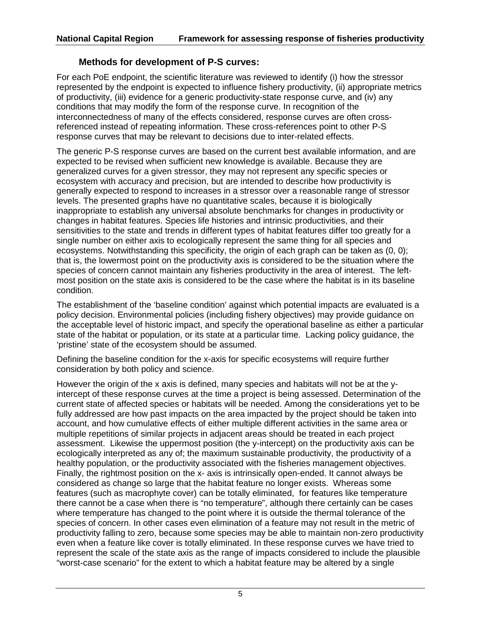## **Methods for development of P-S curves:**

For each PoE endpoint, the scientific literature was reviewed to identify (i) how the stressor represented by the endpoint is expected to influence fishery productivity, (ii) appropriate metrics of productivity, (iii) evidence for a generic productivity-state response curve, and (iv) any conditions that may modify the form of the response curve. In recognition of the interconnectedness of many of the effects considered, response curves are often crossreferenced instead of repeating information. These cross-references point to other P-S response curves that may be relevant to decisions due to inter-related effects.

The generic P-S response curves are based on the current best available information, and are expected to be revised when sufficient new knowledge is available. Because they are generalized curves for a given stressor, they may not represent any specific species or ecosystem with accuracy and precision, but are intended to describe how productivity is generally expected to respond to increases in a stressor over a reasonable range of stressor levels. The presented graphs have no quantitative scales, because it is biologically inappropriate to establish any universal absolute benchmarks for changes in productivity or changes in habitat features. Species life histories and intrinsic productivities, and their sensitivities to the state and trends in different types of habitat features differ too greatly for a single number on either axis to ecologically represent the same thing for all species and ecosystems. Notwithstanding this specificity, the origin of each graph can be taken as (0, 0); that is, the lowermost point on the productivity axis is considered to be the situation where the species of concern cannot maintain any fisheries productivity in the area of interest. The leftmost position on the state axis is considered to be the case where the habitat is in its baseline condition.

The establishment of the 'baseline condition' against which potential impacts are evaluated is a policy decision. Environmental policies (including fishery objectives) may provide guidance on the acceptable level of historic impact, and specify the operational baseline as either a particular state of the habitat or population, or its state at a particular time. Lacking policy guidance, the 'pristine' state of the ecosystem should be assumed.

Defining the baseline condition for the x-axis for specific ecosystems will require further consideration by both policy and science.

However the origin of the x axis is defined, many species and habitats will not be at the yintercept of these response curves at the time a project is being assessed. Determination of the current state of affected species or habitats will be needed. Among the considerations yet to be fully addressed are how past impacts on the area impacted by the project should be taken into account, and how cumulative effects of either multiple different activities in the same area or multiple repetitions of similar projects in adjacent areas should be treated in each project assessment. Likewise the uppermost position (the y-intercept) on the productivity axis can be ecologically interpreted as any of; the maximum sustainable productivity, the productivity of a healthy population, or the productivity associated with the fisheries management objectives. Finally, the rightmost position on the x- axis is intrinsically open-ended. It cannot always be considered as change so large that the habitat feature no longer exists. Whereas some features (such as macrophyte cover) can be totally eliminated, for features like temperature there cannot be a case when there is "no temperature", although there certainly can be cases where temperature has changed to the point where it is outside the thermal tolerance of the species of concern. In other cases even elimination of a feature may not result in the metric of productivity falling to zero, because some species may be able to maintain non-zero productivity even when a feature like cover is totally eliminated. In these response curves we have tried to represent the scale of the state axis as the range of impacts considered to include the plausible "worst-case scenario" for the extent to which a habitat feature may be altered by a single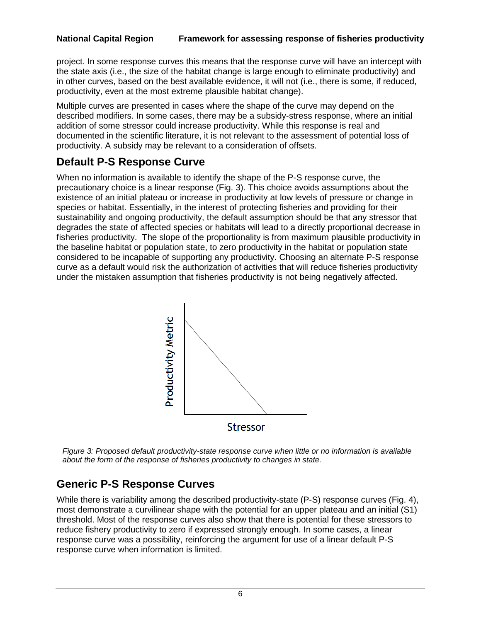project. In some response curves this means that the response curve will have an intercept with the state axis (i.e., the size of the habitat change is large enough to eliminate productivity) and in other curves, based on the best available evidence, it will not (i.e., there is some, if reduced, productivity, even at the most extreme plausible habitat change).

Multiple curves are presented in cases where the shape of the curve may depend on the described modifiers. In some cases, there may be a subsidy-stress response, where an initial addition of some stressor could increase productivity. While this response is real and documented in the scientific literature, it is not relevant to the assessment of potential loss of productivity. A subsidy may be relevant to a consideration of offsets.

# **Default P-S Response Curve**

When no information is available to identify the shape of the P-S response curve, the precautionary choice is a linear response (Fig. 3). This choice avoids assumptions about the existence of an initial plateau or increase in productivity at low levels of pressure or change in species or habitat. Essentially, in the interest of protecting fisheries and providing for their sustainability and ongoing productivity, the default assumption should be that any stressor that degrades the state of affected species or habitats will lead to a directly proportional decrease in fisheries productivity. The slope of the proportionality is from maximum plausible productivity in the baseline habitat or population state, to zero productivity in the habitat or population state considered to be incapable of supporting any productivity. Choosing an alternate P-S response curve as a default would risk the authorization of activities that will reduce fisheries productivity under the mistaken assumption that fisheries productivity is not being negatively affected.



*Figure 3: Proposed default productivity-state response curve when little or no information is available about the form of the response of fisheries productivity to changes in state.*

# **Generic P-S Response Curves**

While there is variability among the described productivity-state (P-S) response curves (Fig. 4), most demonstrate a curvilinear shape with the potential for an upper plateau and an initial (S1) threshold. Most of the response curves also show that there is potential for these stressors to reduce fishery productivity to zero if expressed strongly enough. In some cases, a linear response curve was a possibility, reinforcing the argument for use of a linear default P-S response curve when information is limited.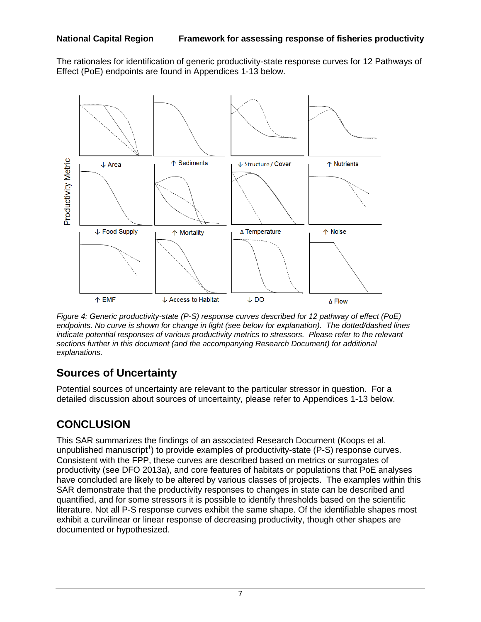The rationales for identification of generic productivity-state response curves for 12 Pathways of Effect (PoE) endpoints are found in Appendices 1-13 below.



*Figure 4: Generic productivity-state (P-S) response curves described for 12 pathway of effect (PoE) endpoints. No curve is shown for change in light (see below for explanation). The dotted/dashed lines indicate potential responses of various productivity metrics to stressors. Please refer to the relevant sections further in this document (and the accompanying Research Document) for additional explanations.*

# **Sources of Uncertainty**

Potential sources of uncertainty are relevant to the particular stressor in question. For a detailed discussion about sources of uncertainty, please refer to Appendices 1-13 below.

# **CONCLUSION**

This SAR summarizes the findings of an associated Research Document (Koops et al. unpublished manuscript<sup>1</sup>) to provide examples of productivity-state (P-S) response curves. Consistent with the FPP, these curves are described based on metrics or surrogates of productivity (see DFO 2013a), and core features of habitats or populations that PoE analyses have concluded are likely to be altered by various classes of projects. The examples within this SAR demonstrate that the productivity responses to changes in state can be described and quantified, and for some stressors it is possible to identify thresholds based on the scientific literature. Not all P-S response curves exhibit the same shape. Of the identifiable shapes most exhibit a curvilinear or linear response of decreasing productivity, though other shapes are documented or hypothesized.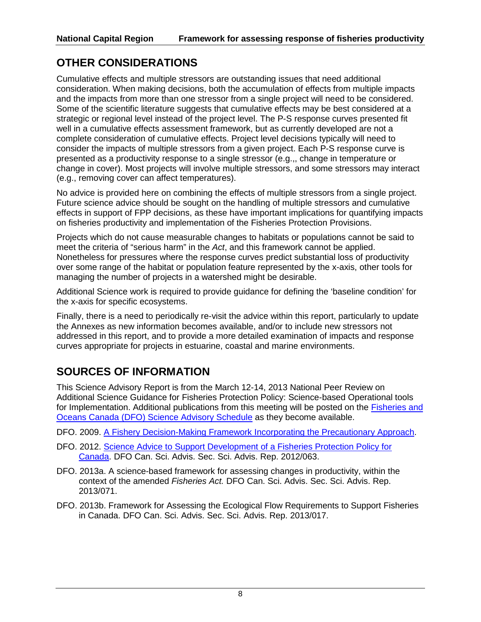# **OTHER CONSIDERATIONS**

Cumulative effects and multiple stressors are outstanding issues that need additional consideration. When making decisions, both the accumulation of effects from multiple impacts and the impacts from more than one stressor from a single project will need to be considered. Some of the scientific literature suggests that cumulative effects may be best considered at a strategic or regional level instead of the project level. The P-S response curves presented fit well in a cumulative effects assessment framework, but as currently developed are not a complete consideration of cumulative effects. Project level decisions typically will need to consider the impacts of multiple stressors from a given project. Each P-S response curve is presented as a productivity response to a single stressor (e.g.,, change in temperature or change in cover). Most projects will involve multiple stressors, and some stressors may interact (e.g., removing cover can affect temperatures).

No advice is provided here on combining the effects of multiple stressors from a single project. Future science advice should be sought on the handling of multiple stressors and cumulative effects in support of FPP decisions, as these have important implications for quantifying impacts on fisheries productivity and implementation of the Fisheries Protection Provisions.

Projects which do not cause measurable changes to habitats or populations cannot be said to meet the criteria of "serious harm" in the *Act*, and this framework cannot be applied. Nonetheless for pressures where the response curves predict substantial loss of productivity over some range of the habitat or population feature represented by the x-axis, other tools for managing the number of projects in a watershed might be desirable.

Additional Science work is required to provide guidance for defining the 'baseline condition' for the x-axis for specific ecosystems.

Finally, there is a need to periodically re-visit the advice within this report, particularly to update the Annexes as new information becomes available, and/or to include new stressors not addressed in this report, and to provide a more detailed examination of impacts and response curves appropriate for projects in estuarine, coastal and marine environments.

# **SOURCES OF INFORMATION**

This Science Advisory Report is from the March 12-14, 2013 National Peer Review on Additional Science Guidance for Fisheries Protection Policy: Science-based Operational tools for Implementation. Additional publications from this meeting will be posted on the [Fisheries and](http://www.isdm-gdsi.gc.ca/csas-sccs/applications/events-evenements/index-eng.asp)  [Oceans Canada \(DFO\) Science Advisory Schedule](http://www.isdm-gdsi.gc.ca/csas-sccs/applications/events-evenements/index-eng.asp) as they become available.

- DFO. 2009. [A Fishery Decision-Making Framework Incorporating the Precautionary Approach.](http://www.dfo-mpo.gc.ca/fm-gp/peches-fisheries/fish-ren-peche/sff-cpd/precaution-eng.htm)
- DFO. 2012. [Science Advice to Support Development of a Fisheries Protection Policy for](http://www.dfo-mpo.gc.ca/csas-sccs/Publications/SAR-AS/2012/2012_063-eng.html)  [Canada.](http://www.dfo-mpo.gc.ca/csas-sccs/Publications/SAR-AS/2012/2012_063-eng.html) DFO Can. Sci. Advis. Sec. Sci. Advis. Rep. 2012/063.
- DFO. 2013a. A science-based framework for assessing changes in productivity, within the context of the amended *Fisheries Act.* DFO Can. Sci. Advis. Sec. Sci. Advis. Rep. 2013/071.
- DFO. 2013b. Framework for Assessing the Ecological Flow Requirements to Support Fisheries in Canada. DFO Can. Sci. Advis. Sec. Sci. Advis. Rep. 2013/017.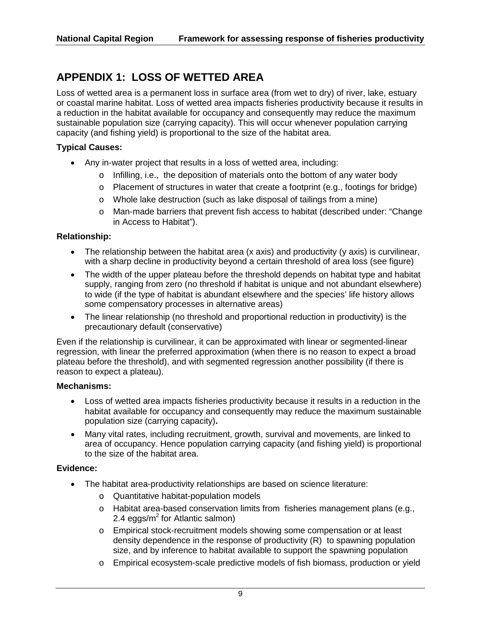# **APPENDIX 1: LOSS OF WETTED AREA**

Loss of wetted area is a permanent loss in surface area (from wet to dry) of river, lake, estuary or coastal marine habitat. Loss of wetted area impacts fisheries productivity because it results in a reduction in the habitat available for occupancy and consequently may reduce the maximum sustainable population size (carrying capacity). This will occur whenever population carrying capacity (and fishing yield) is proportional to the size of the habitat area.

## **Typical Causes:**

- Any in-water project that results in a loss of wetted area, including:
	- o Infilling, i.e., the deposition of materials onto the bottom of any water body
	- $\circ$  Placement of structures in water that create a footprint (e.g., footings for bridge)
	- o Whole lake destruction (such as lake disposal of tailings from a mine)
	- o Man-made barriers that prevent fish access to habitat (described under: "Change in Access to Habitat").

## **Relationship:**

- The relationship between the habitat area (x axis) and productivity (y axis) is curvilinear, with a sharp decline in productivity beyond a certain threshold of area loss (see figure)
- The width of the upper plateau before the threshold depends on habitat type and habitat supply, ranging from zero (no threshold if habitat is unique and not abundant elsewhere) to wide (if the type of habitat is abundant elsewhere and the species' life history allows some compensatory processes in alternative areas)
- The linear relationship (no threshold and proportional reduction in productivity) is the precautionary default (conservative)

Even if the relationship is curvilinear, it can be approximated with linear or segmented-linear regression, with linear the preferred approximation (when there is no reason to expect a broad plateau before the threshold), and with segmented regression another possibility (if there is reason to expect a plateau).

### **Mechanisms:**

- Loss of wetted area impacts fisheries productivity because it results in a reduction in the habitat available for occupancy and consequently may reduce the maximum sustainable population size (carrying capacity)**.**
- Many vital rates, including recruitment, growth, survival and movements, are linked to area of occupancy. Hence population carrying capacity (and fishing yield) is proportional to the size of the habitat area.

### **Evidence:**

- The habitat area-productivity relationships are based on science literature:
	- o Quantitative habitat-population models
	- o Habitat area-based conservation limits from fisheries management plans (e.g., 2.4 eggs/ $m^2$  for Atlantic salmon)
	- o Empirical stock-recruitment models showing some compensation or at least density dependence in the response of productivity (R) to spawning population size, and by inference to habitat available to support the spawning population
	- o Empirical ecosystem-scale predictive models of fish biomass, production or yield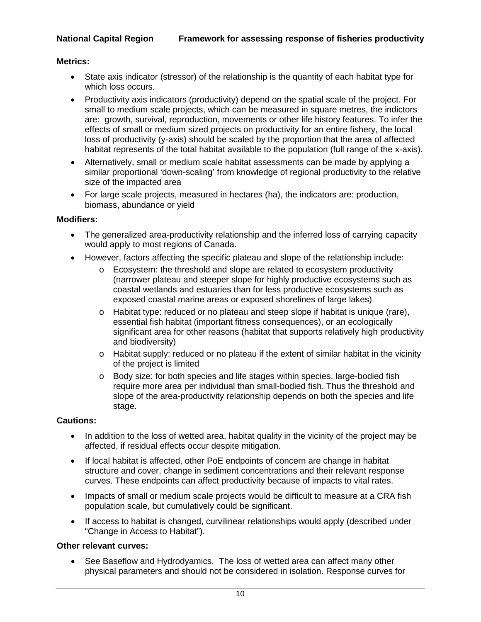## **Metrics:**

- State axis indicator (stressor) of the relationship is the quantity of each habitat type for which loss occurs.
- Productivity axis indicators (productivity) depend on the spatial scale of the project. For small to medium scale projects, which can be measured in square metres, the indictors are: growth, survival, reproduction, movements or other life history features. To infer the effects of small or medium sized projects on productivity for an entire fishery, the local loss of productivity (y-axis) should be scaled by the proportion that the area of affected habitat represents of the total habitat available to the population (full range of the x-axis).
- Alternatively, small or medium scale habitat assessments can be made by applying a similar proportional 'down-scaling' from knowledge of regional productivity to the relative size of the impacted area
- For large scale projects, measured in hectares (ha), the indicators are: production, biomass, abundance or yield

#### **Modifiers:**

- The generalized area-productivity relationship and the inferred loss of carrying capacity would apply to most regions of Canada.
- However, factors affecting the specific plateau and slope of the relationship include:
	- $\circ$  Ecosystem: the threshold and slope are related to ecosystem productivity (narrower plateau and steeper slope for highly productive ecosystems such as coastal wetlands and estuaries than for less productive ecosystems such as exposed coastal marine areas or exposed shorelines of large lakes)
	- $\circ$  Habitat type: reduced or no plateau and steep slope if habitat is unique (rare), essential fish habitat (important fitness consequences), or an ecologically significant area for other reasons (habitat that supports relatively high productivity and biodiversity)
	- o Habitat supply: reduced or no plateau if the extent of similar habitat in the vicinity of the project is limited
	- o Body size: for both species and life stages within species, large-bodied fish require more area per individual than small-bodied fish. Thus the threshold and slope of the area-productivity relationship depends on both the species and life stage.

### **Cautions:**

- In addition to the loss of wetted area, habitat quality in the vicinity of the project may be affected, if residual effects occur despite mitigation.
- If local habitat is affected, other PoE endpoints of concern are change in habitat structure and cover, change in sediment concentrations and their relevant response curves. These endpoints can affect productivity because of impacts to vital rates.
- Impacts of small or medium scale projects would be difficult to measure at a CRA fish population scale, but cumulatively could be significant.
- If access to habitat is changed, curvilinear relationships would apply (described under "Change in Access to Habitat").

### **Other relevant curves:**

• See Baseflow and Hydrodyamics. The loss of wetted area can affect many other physical parameters and should not be considered in isolation. Response curves for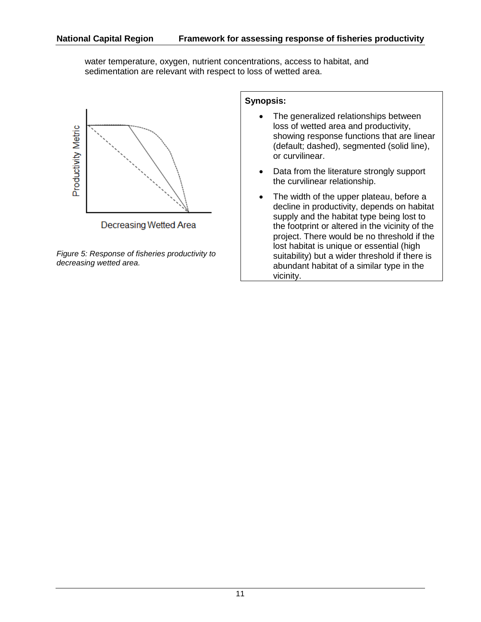water temperature, oxygen, nutrient concentrations, access to habitat, and sedimentation are relevant with respect to loss of wetted area.



*Figure 5: Response of fisheries productivity to decreasing wetted area.*

- The generalized relationships between loss of wetted area and productivity, showing response functions that are linear (default; dashed), segmented (solid line), or curvilinear.
- Data from the literature strongly support the curvilinear relationship.
- The width of the upper plateau, before a decline in productivity, depends on habitat supply and the habitat type being lost to the footprint or altered in the vicinity of the project. There would be no threshold if the lost habitat is unique or essential (high suitability) but a wider threshold if there is abundant habitat of a similar type in the vicinity.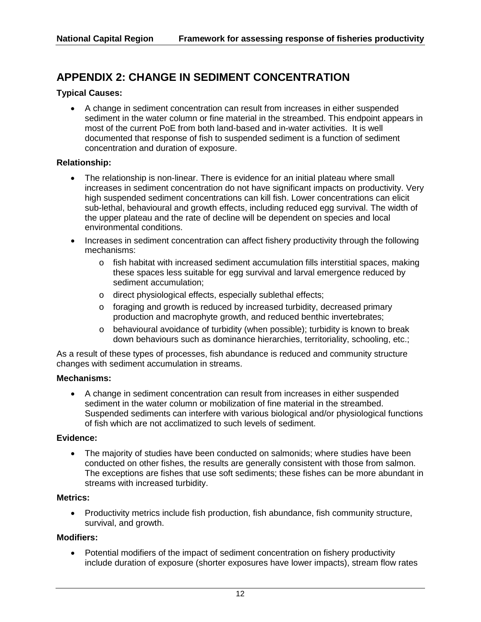# **APPENDIX 2: CHANGE IN SEDIMENT CONCENTRATION**

## **Typical Causes:**

• A change in sediment concentration can result from increases in either suspended sediment in the water column or fine material in the streambed. This endpoint appears in most of the current PoE from both land-based and in-water activities. It is well documented that response of fish to suspended sediment is a function of sediment concentration and duration of exposure.

### **Relationship:**

- The relationship is non-linear. There is evidence for an initial plateau where small increases in sediment concentration do not have significant impacts on productivity. Very high suspended sediment concentrations can kill fish. Lower concentrations can elicit sub-lethal, behavioural and growth effects, including reduced egg survival. The width of the upper plateau and the rate of decline will be dependent on species and local environmental conditions.
- Increases in sediment concentration can affect fishery productivity through the following mechanisms:
	- $\circ$  fish habitat with increased sediment accumulation fills interstitial spaces, making these spaces less suitable for egg survival and larval emergence reduced by sediment accumulation;
	- o direct physiological effects, especially sublethal effects;
	- o foraging and growth is reduced by increased turbidity, decreased primary production and macrophyte growth, and reduced benthic invertebrates;
	- o behavioural avoidance of turbidity (when possible); turbidity is known to break down behaviours such as dominance hierarchies, territoriality, schooling, etc.;

As a result of these types of processes, fish abundance is reduced and community structure changes with sediment accumulation in streams.

### **Mechanisms:**

• A change in sediment concentration can result from increases in either suspended sediment in the water column or mobilization of fine material in the streambed. Suspended sediments can interfere with various biological and/or physiological functions of fish which are not acclimatized to such levels of sediment.

### **Evidence:**

• The majority of studies have been conducted on salmonids; where studies have been conducted on other fishes, the results are generally consistent with those from salmon. The exceptions are fishes that use soft sediments; these fishes can be more abundant in streams with increased turbidity.

### **Metrics:**

• Productivity metrics include fish production, fish abundance, fish community structure, survival, and growth.

### **Modifiers:**

• Potential modifiers of the impact of sediment concentration on fishery productivity include duration of exposure (shorter exposures have lower impacts), stream flow rates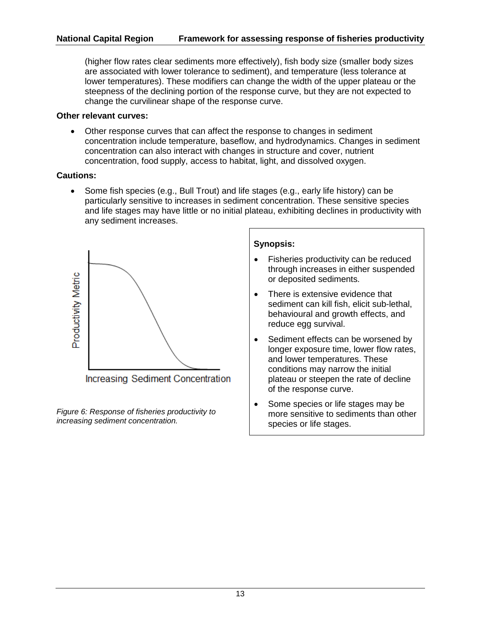## **National Capital Region Framework for assessing response of fisheries productivity**

(higher flow rates clear sediments more effectively), fish body size (smaller body sizes are associated with lower tolerance to sediment), and temperature (less tolerance at lower temperatures). These modifiers can change the width of the upper plateau or the steepness of the declining portion of the response curve, but they are not expected to change the curvilinear shape of the response curve.

#### **Other relevant curves:**

• Other response curves that can affect the response to changes in sediment concentration include temperature, baseflow, and hydrodynamics. Changes in sediment concentration can also interact with changes in structure and cover, nutrient concentration, food supply, access to habitat, light, and dissolved oxygen.

### **Cautions:**

• Some fish species (e.g., Bull Trout) and life stages (e.g., early life history) can be particularly sensitive to increases in sediment concentration. These sensitive species and life stages may have little or no initial plateau, exhibiting declines in productivity with any sediment increases.



*Figure 6: Response of fisheries productivity to increasing sediment concentration.*

- Fisheries productivity can be reduced through increases in either suspended or deposited sediments.
- There is extensive evidence that sediment can kill fish, elicit sub-lethal, behavioural and growth effects, and reduce egg survival.
- Sediment effects can be worsened by longer exposure time, lower flow rates, and lower temperatures. These conditions may narrow the initial plateau or steepen the rate of decline of the response curve.
- Some species or life stages may be more sensitive to sediments than other species or life stages.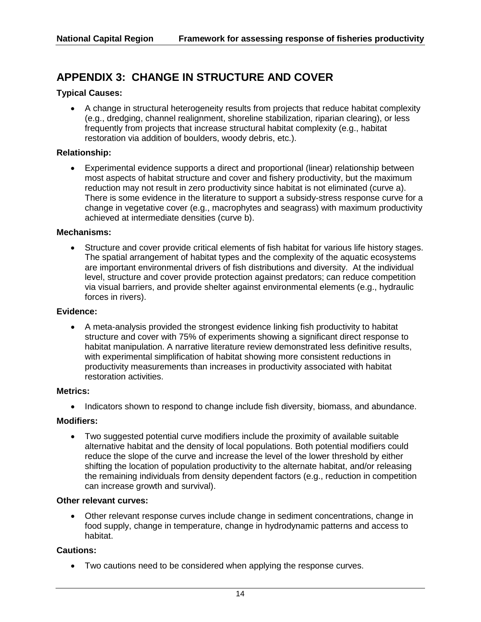# **APPENDIX 3: CHANGE IN STRUCTURE AND COVER**

### **Typical Causes:**

• A change in structural heterogeneity results from projects that reduce habitat complexity (e.g., dredging, channel realignment, shoreline stabilization, riparian clearing), or less frequently from projects that increase structural habitat complexity (e.g., habitat restoration via addition of boulders, woody debris, etc.).

#### **Relationship:**

• Experimental evidence supports a direct and proportional (linear) relationship between most aspects of habitat structure and cover and fishery productivity, but the maximum reduction may not result in zero productivity since habitat is not eliminated (curve a). There is some evidence in the literature to support a subsidy-stress response curve for a change in vegetative cover (e.g., macrophytes and seagrass) with maximum productivity achieved at intermediate densities (curve b).

#### **Mechanisms:**

• Structure and cover provide critical elements of fish habitat for various life history stages. The spatial arrangement of habitat types and the complexity of the aquatic ecosystems are important environmental drivers of fish distributions and diversity. At the individual level, structure and cover provide protection against predators; can reduce competition via visual barriers, and provide shelter against environmental elements (e.g., hydraulic forces in rivers).

#### **Evidence:**

• A meta-analysis provided the strongest evidence linking fish productivity to habitat structure and cover with 75% of experiments showing a significant direct response to habitat manipulation. A narrative literature review demonstrated less definitive results, with experimental simplification of habitat showing more consistent reductions in productivity measurements than increases in productivity associated with habitat restoration activities.

#### **Metrics:**

• Indicators shown to respond to change include fish diversity, biomass, and abundance.

#### **Modifiers:**

• Two suggested potential curve modifiers include the proximity of available suitable alternative habitat and the density of local populations. Both potential modifiers could reduce the slope of the curve and increase the level of the lower threshold by either shifting the location of population productivity to the alternate habitat, and/or releasing the remaining individuals from density dependent factors (e.g., reduction in competition can increase growth and survival).

#### **Other relevant curves:**

• Other relevant response curves include change in sediment concentrations, change in food supply, change in temperature, change in hydrodynamic patterns and access to habitat.

#### **Cautions:**

• Two cautions need to be considered when applying the response curves.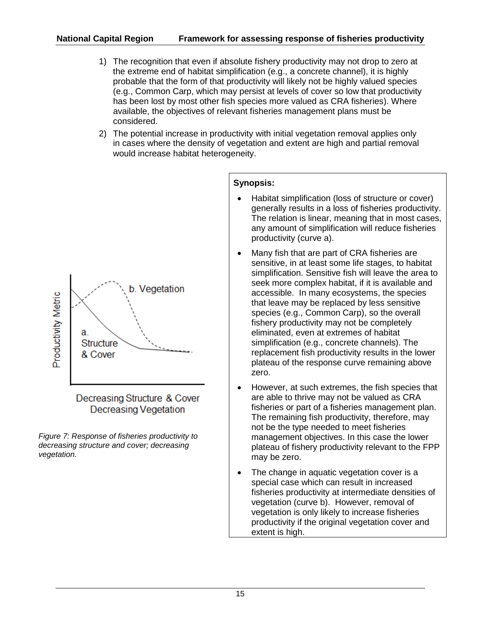- 1) The recognition that even if absolute fishery productivity may not drop to zero at the extreme end of habitat simplification (e.g., a concrete channel), it is highly probable that the form of that productivity will likely not be highly valued species (e.g., Common Carp, which may persist at levels of cover so low that productivity has been lost by most other fish species more valued as CRA fisheries). Where available, the objectives of relevant fisheries management plans must be considered.
- 2) The potential increase in productivity with initial vegetation removal applies only in cases where the density of vegetation and extent are high and partial removal would increase habitat heterogeneity.



*Figure 7: Response of fisheries productivity to decreasing structure and cover; decreasing vegetation.*

- Habitat simplification (loss of structure or cover) generally results in a loss of fisheries productivity. The relation is linear, meaning that in most cases, any amount of simplification will reduce fisheries productivity (curve a).
- Many fish that are part of CRA fisheries are sensitive, in at least some life stages, to habitat simplification. Sensitive fish will leave the area to seek more complex habitat, if it is available and accessible. In many ecosystems, the species that leave may be replaced by less sensitive species (e.g., Common Carp), so the overall fishery productivity may not be completely eliminated, even at extremes of habitat simplification (e.g., concrete channels). The replacement fish productivity results in the lower plateau of the response curve remaining above zero.
- However, at such extremes, the fish species that are able to thrive may not be valued as CRA fisheries or part of a fisheries management plan. The remaining fish productivity, therefore, may not be the type needed to meet fisheries management objectives. In this case the lower plateau of fishery productivity relevant to the FPP may be zero.
- The change in aquatic vegetation cover is a special case which can result in increased fisheries productivity at intermediate densities of vegetation (curve b). However, removal of vegetation is only likely to increase fisheries productivity if the original vegetation cover and extent is high.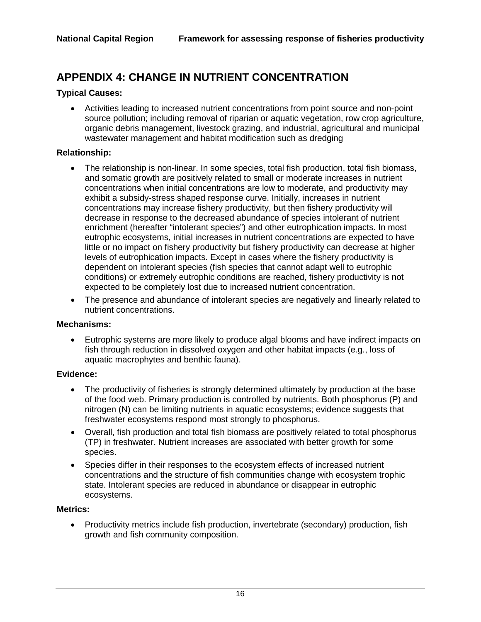# **APPENDIX 4: CHANGE IN NUTRIENT CONCENTRATION**

## **Typical Causes:**

• Activities leading to increased nutrient concentrations from point source and non-point source pollution; including removal of riparian or aquatic vegetation, row crop agriculture, organic debris management, livestock grazing, and industrial, agricultural and municipal wastewater management and habitat modification such as dredging

### **Relationship:**

- The relationship is non-linear. In some species, total fish production, total fish biomass, and somatic growth are positively related to small or moderate increases in nutrient concentrations when initial concentrations are low to moderate, and productivity may exhibit a subsidy-stress shaped response curve. Initially, increases in nutrient concentrations may increase fishery productivity, but then fishery productivity will decrease in response to the decreased abundance of species intolerant of nutrient enrichment (hereafter "intolerant species") and other eutrophication impacts. In most eutrophic ecosystems, initial increases in nutrient concentrations are expected to have little or no impact on fishery productivity but fishery productivity can decrease at higher levels of eutrophication impacts. Except in cases where the fishery productivity is dependent on intolerant species (fish species that cannot adapt well to eutrophic conditions) or extremely eutrophic conditions are reached, fishery productivity is not expected to be completely lost due to increased nutrient concentration.
- The presence and abundance of intolerant species are negatively and linearly related to nutrient concentrations.

### **Mechanisms:**

• Eutrophic systems are more likely to produce algal blooms and have indirect impacts on fish through reduction in dissolved oxygen and other habitat impacts (e.g., loss of aquatic macrophytes and benthic fauna).

### **Evidence:**

- The productivity of fisheries is strongly determined ultimately by production at the base of the food web. Primary production is controlled by nutrients. Both phosphorus (P) and nitrogen (N) can be limiting nutrients in aquatic ecosystems; evidence suggests that freshwater ecosystems respond most strongly to phosphorus.
- Overall, fish production and total fish biomass are positively related to total phosphorus (TP) in freshwater. Nutrient increases are associated with better growth for some species.
- Species differ in their responses to the ecosystem effects of increased nutrient concentrations and the structure of fish communities change with ecosystem trophic state. Intolerant species are reduced in abundance or disappear in eutrophic ecosystems.

### **Metrics:**

• Productivity metrics include fish production, invertebrate (secondary) production, fish growth and fish community composition.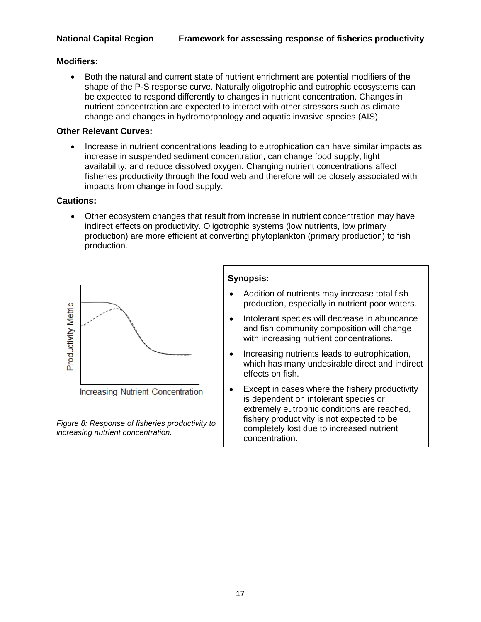## **Modifiers:**

• Both the natural and current state of nutrient enrichment are potential modifiers of the shape of the P-S response curve. Naturally oligotrophic and eutrophic ecosystems can be expected to respond differently to changes in nutrient concentration. Changes in nutrient concentration are expected to interact with other stressors such as climate change and changes in hydromorphology and aquatic invasive species (AIS).

## **Other Relevant Curves:**

• Increase in nutrient concentrations leading to eutrophication can have similar impacts as increase in suspended sediment concentration, can change food supply, light availability, and reduce dissolved oxygen. Changing nutrient concentrations affect fisheries productivity through the food web and therefore will be closely associated with impacts from change in food supply.

### **Cautions:**

• Other ecosystem changes that result from increase in nutrient concentration may have indirect effects on productivity. Oligotrophic systems (low nutrients, low primary production) are more efficient at converting phytoplankton (primary production) to fish production.



Increasing Nutrient Concentration

*Figure 8: Response of fisheries productivity to increasing nutrient concentration.*

- Addition of nutrients may increase total fish production, especially in nutrient poor waters.
- Intolerant species will decrease in abundance and fish community composition will change with increasing nutrient concentrations.
- Increasing nutrients leads to eutrophication, which has many undesirable direct and indirect effects on fish.
- Except in cases where the fishery productivity is dependent on intolerant species or extremely eutrophic conditions are reached, fishery productivity is not expected to be completely lost due to increased nutrient concentration.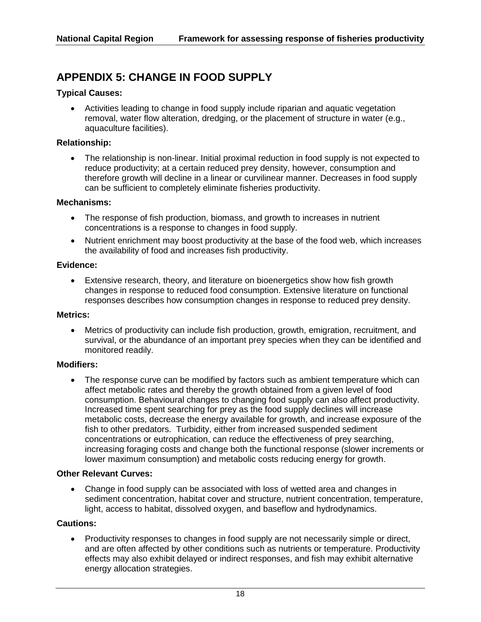# **APPENDIX 5: CHANGE IN FOOD SUPPLY**

#### **Typical Causes:**

• Activities leading to change in food supply include riparian and aquatic vegetation removal, water flow alteration, dredging, or the placement of structure in water (e.g., aquaculture facilities).

### **Relationship:**

• The relationship is non-linear. Initial proximal reduction in food supply is not expected to reduce productivity; at a certain reduced prey density, however, consumption and therefore growth will decline in a linear or curvilinear manner. Decreases in food supply can be sufficient to completely eliminate fisheries productivity.

#### **Mechanisms:**

- The response of fish production, biomass, and growth to increases in nutrient concentrations is a response to changes in food supply.
- Nutrient enrichment may boost productivity at the base of the food web, which increases the availability of food and increases fish productivity.

#### **Evidence:**

• Extensive research, theory, and literature on bioenergetics show how fish growth changes in response to reduced food consumption. Extensive literature on functional responses describes how consumption changes in response to reduced prey density.

#### **Metrics:**

• Metrics of productivity can include fish production, growth, emigration, recruitment, and survival, or the abundance of an important prey species when they can be identified and monitored readily.

#### **Modifiers:**

• The response curve can be modified by factors such as ambient temperature which can affect metabolic rates and thereby the growth obtained from a given level of food consumption. Behavioural changes to changing food supply can also affect productivity. Increased time spent searching for prey as the food supply declines will increase metabolic costs, decrease the energy available for growth, and increase exposure of the fish to other predators. Turbidity, either from increased suspended sediment concentrations or eutrophication, can reduce the effectiveness of prey searching, increasing foraging costs and change both the functional response (slower increments or lower maximum consumption) and metabolic costs reducing energy for growth.

#### **Other Relevant Curves:**

• Change in food supply can be associated with loss of wetted area and changes in sediment concentration, habitat cover and structure, nutrient concentration, temperature, light, access to habitat, dissolved oxygen, and baseflow and hydrodynamics.

#### **Cautions:**

• Productivity responses to changes in food supply are not necessarily simple or direct, and are often affected by other conditions such as nutrients or temperature. Productivity effects may also exhibit delayed or indirect responses, and fish may exhibit alternative energy allocation strategies.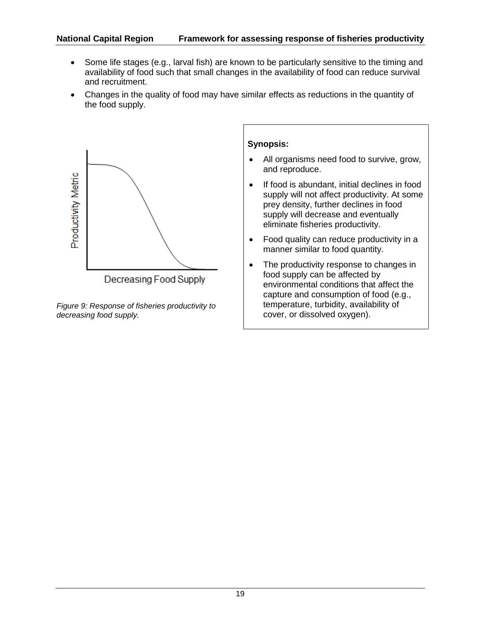- Some life stages (e.g., larval fish) are known to be particularly sensitive to the timing and availability of food such that small changes in the availability of food can reduce survival and recruitment.
- Changes in the quality of food may have similar effects as reductions in the quantity of the food supply.



*Figure 9: Response of fisheries productivity to decreasing food supply.*

- All organisms need food to survive, grow, and reproduce.
- If food is abundant, initial declines in food supply will not affect productivity. At some prey density, further declines in food supply will decrease and eventually eliminate fisheries productivity.
- Food quality can reduce productivity in a manner similar to food quantity.
- The productivity response to changes in food supply can be affected by environmental conditions that affect the capture and consumption of food (e.g., temperature, turbidity, availability of cover, or dissolved oxygen).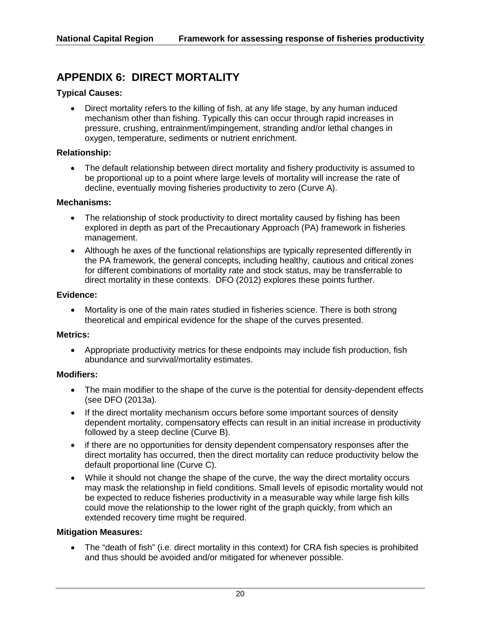# **APPENDIX 6: DIRECT MORTALITY**

## **Typical Causes:**

• Direct mortality refers to the killing of fish, at any life stage, by any human induced mechanism other than fishing. Typically this can occur through rapid increases in pressure, crushing, entrainment/impingement, stranding and/or lethal changes in oxygen, temperature, sediments or nutrient enrichment.

#### **Relationship:**

• The default relationship between direct mortality and fishery productivity is assumed to be proportional up to a point where large levels of mortality will increase the rate of decline, eventually moving fisheries productivity to zero (Curve A).

#### **Mechanisms:**

- The relationship of stock productivity to direct mortality caused by fishing has been explored in depth as part of the Precautionary Approach (PA) framework in fisheries management.
- Although he axes of the functional relationships are typically represented differently in the PA framework, the general concepts, including healthy, cautious and critical zones for different combinations of mortality rate and stock status, may be transferrable to direct mortality in these contexts. DFO (2012) explores these points further.

#### **Evidence:**

• Mortality is one of the main rates studied in fisheries science. There is both strong theoretical and empirical evidence for the shape of the curves presented.

#### **Metrics:**

• Appropriate productivity metrics for these endpoints may include fish production, fish abundance and survival/mortality estimates.

#### **Modifiers:**

- The main modifier to the shape of the curve is the potential for density-dependent effects (see DFO (2013a).
- If the direct mortality mechanism occurs before some important sources of density dependent mortality, compensatory effects can result in an initial increase in productivity followed by a steep decline (Curve B).
- if there are no opportunities for density dependent compensatory responses after the direct mortality has occurred, then the direct mortality can reduce productivity below the default proportional line (Curve C).
- While it should not change the shape of the curve, the way the direct mortality occurs may mask the relationship in field conditions. Small levels of episodic mortality would not be expected to reduce fisheries productivity in a measurable way while large fish kills could move the relationship to the lower right of the graph quickly, from which an extended recovery time might be required.

### **Mitigation Measures:**

• The "death of fish" (i.e. direct mortality in this context) for CRA fish species is prohibited and thus should be avoided and/or mitigated for whenever possible.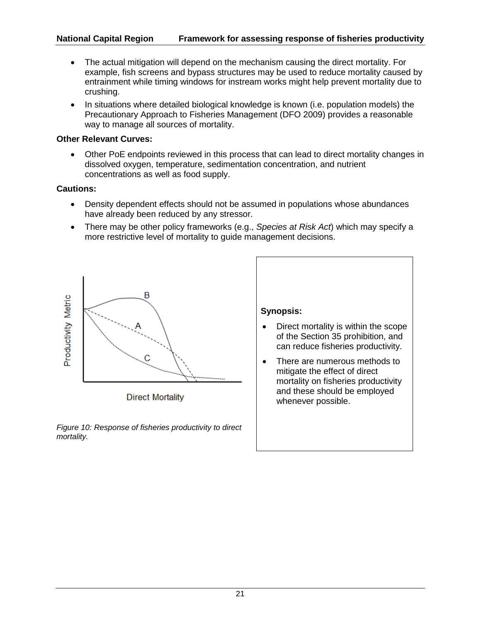- The actual mitigation will depend on the mechanism causing the direct mortality. For example, fish screens and bypass structures may be used to reduce mortality caused by entrainment while timing windows for instream works might help prevent mortality due to crushing.
- In situations where detailed biological knowledge is known (i.e. population models) the Precautionary Approach to Fisheries Management (DFO 2009) provides a reasonable way to manage all sources of mortality.

## **Other Relevant Curves:**

• Other PoE endpoints reviewed in this process that can lead to direct mortality changes in dissolved oxygen, temperature, sedimentation concentration, and nutrient concentrations as well as food supply.

## **Cautions:**

- Density dependent effects should not be assumed in populations whose abundances have already been reduced by any stressor.
- There may be other policy frameworks (e.g., *Species at Risk Act*) which may specify a more restrictive level of mortality to guide management decisions.



**Direct Mortality** 

*Figure 10: Response of fisheries productivity to direct mortality.*



• There are numerous methods to mitigate the effect of direct mortality on fisheries productivity and these should be employed whenever possible.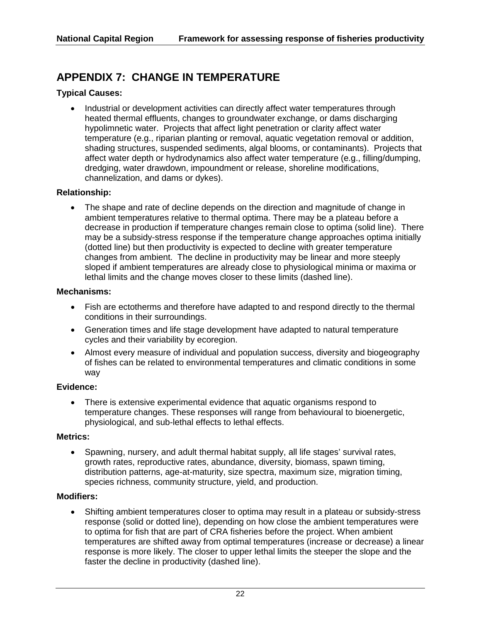# **APPENDIX 7: CHANGE IN TEMPERATURE**

## **Typical Causes:**

Industrial or development activities can directly affect water temperatures through heated thermal effluents, changes to groundwater exchange, or dams discharging hypolimnetic water. Projects that affect light penetration or clarity affect water temperature (e.g., riparian planting or removal, aquatic vegetation removal or addition, shading structures, suspended sediments, algal blooms, or contaminants). Projects that affect water depth or hydrodynamics also affect water temperature (e.g., filling/dumping, dredging, water drawdown, impoundment or release, shoreline modifications, channelization, and dams or dykes).

## **Relationship:**

The shape and rate of decline depends on the direction and magnitude of change in ambient temperatures relative to thermal optima. There may be a plateau before a decrease in production if temperature changes remain close to optima (solid line). There may be a subsidy-stress response if the temperature change approaches optima initially (dotted line) but then productivity is expected to decline with greater temperature changes from ambient. The decline in productivity may be linear and more steeply sloped if ambient temperatures are already close to physiological minima or maxima or lethal limits and the change moves closer to these limits (dashed line).

## **Mechanisms:**

- Fish are ectotherms and therefore have adapted to and respond directly to the thermal conditions in their surroundings.
- Generation times and life stage development have adapted to natural temperature cycles and their variability by ecoregion.
- Almost every measure of individual and population success, diversity and biogeography of fishes can be related to environmental temperatures and climatic conditions in some way

### **Evidence:**

• There is extensive experimental evidence that aquatic organisms respond to temperature changes. These responses will range from behavioural to bioenergetic, physiological, and sub-lethal effects to lethal effects.

### **Metrics:**

• Spawning, nursery, and adult thermal habitat supply, all life stages' survival rates, growth rates, reproductive rates, abundance, diversity, biomass, spawn timing, distribution patterns, age-at-maturity, size spectra, maximum size, migration timing, species richness, community structure, yield, and production.

### **Modifiers:**

• Shifting ambient temperatures closer to optima may result in a plateau or subsidy-stress response (solid or dotted line), depending on how close the ambient temperatures were to optima for fish that are part of CRA fisheries before the project. When ambient temperatures are shifted away from optimal temperatures (increase or decrease) a linear response is more likely. The closer to upper lethal limits the steeper the slope and the faster the decline in productivity (dashed line).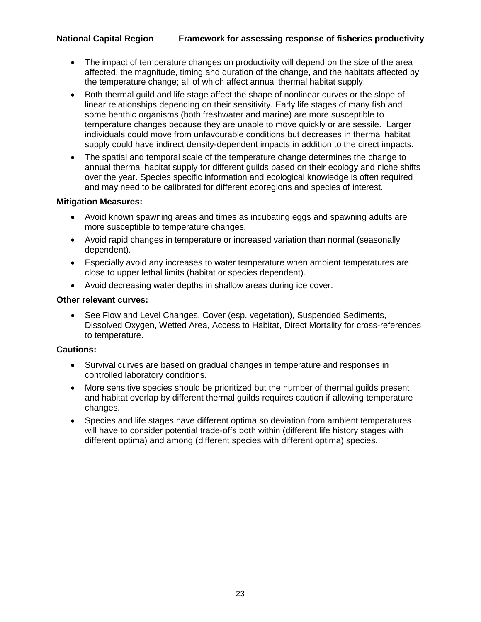- The impact of temperature changes on productivity will depend on the size of the area affected, the magnitude, timing and duration of the change, and the habitats affected by the temperature change; all of which affect annual thermal habitat supply.
- Both thermal guild and life stage affect the shape of nonlinear curves or the slope of linear relationships depending on their sensitivity. Early life stages of many fish and some benthic organisms (both freshwater and marine) are more susceptible to temperature changes because they are unable to move quickly or are sessile. Larger individuals could move from unfavourable conditions but decreases in thermal habitat supply could have indirect density-dependent impacts in addition to the direct impacts.
- The spatial and temporal scale of the temperature change determines the change to annual thermal habitat supply for different guilds based on their ecology and niche shifts over the year. Species specific information and ecological knowledge is often required and may need to be calibrated for different ecoregions and species of interest.

## **Mitigation Measures:**

- Avoid known spawning areas and times as incubating eggs and spawning adults are more susceptible to temperature changes.
- Avoid rapid changes in temperature or increased variation than normal (seasonally dependent).
- Especially avoid any increases to water temperature when ambient temperatures are close to upper lethal limits (habitat or species dependent).
- Avoid decreasing water depths in shallow areas during ice cover.

## **Other relevant curves:**

• See Flow and Level Changes, Cover (esp. vegetation), Suspended Sediments, Dissolved Oxygen, Wetted Area, Access to Habitat, Direct Mortality for cross-references to temperature.

## **Cautions:**

- Survival curves are based on gradual changes in temperature and responses in controlled laboratory conditions.
- More sensitive species should be prioritized but the number of thermal guilds present and habitat overlap by different thermal guilds requires caution if allowing temperature changes.
- Species and life stages have different optima so deviation from ambient temperatures will have to consider potential trade-offs both within (different life history stages with different optima) and among (different species with different optima) species.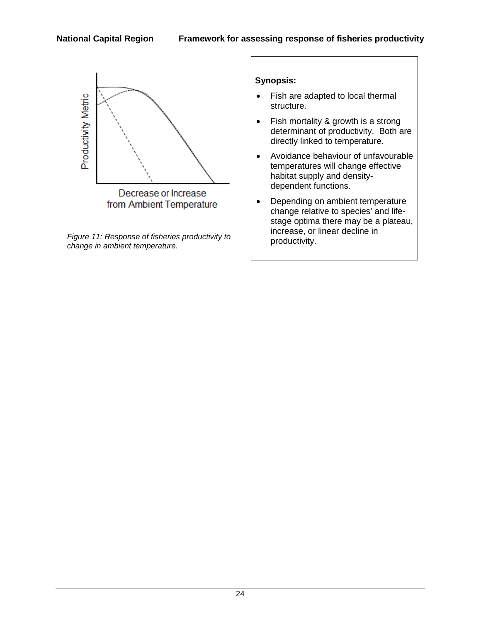

*Figure 11: Response of fisheries productivity to change in ambient temperature.*

- Fish are adapted to local thermal structure.
- Fish mortality & growth is a strong determinant of productivity. Both are directly linked to temperature.
- Avoidance behaviour of unfavourable temperatures will change effective habitat supply and densitydependent functions.
- Depending on ambient temperature change relative to species' and lifestage optima there may be a plateau, increase, or linear decline in productivity.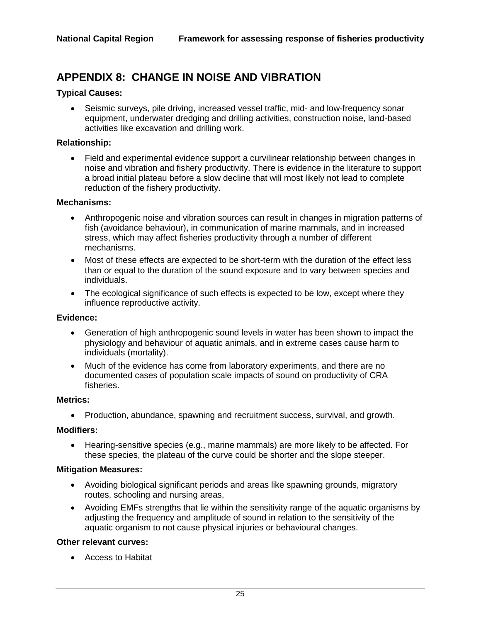# **APPENDIX 8: CHANGE IN NOISE AND VIBRATION**

#### **Typical Causes:**

• Seismic surveys, pile driving, increased vessel traffic, mid- and low-frequency sonar equipment, underwater dredging and drilling activities, construction noise, land-based activities like excavation and drilling work.

#### **Relationship:**

• Field and experimental evidence support a curvilinear relationship between changes in noise and vibration and fishery productivity. There is evidence in the literature to support a broad initial plateau before a slow decline that will most likely not lead to complete reduction of the fishery productivity.

#### **Mechanisms:**

- Anthropogenic noise and vibration sources can result in changes in migration patterns of fish (avoidance behaviour), in communication of marine mammals, and in increased stress, which may affect fisheries productivity through a number of different mechanisms.
- Most of these effects are expected to be short-term with the duration of the effect less than or equal to the duration of the sound exposure and to vary between species and individuals.
- The ecological significance of such effects is expected to be low, except where they influence reproductive activity.

#### **Evidence:**

- Generation of high anthropogenic sound levels in water has been shown to impact the physiology and behaviour of aquatic animals, and in extreme cases cause harm to individuals (mortality).
- Much of the evidence has come from laboratory experiments, and there are no documented cases of population scale impacts of sound on productivity of CRA fisheries.

#### **Metrics:**

• Production, abundance, spawning and recruitment success, survival, and growth.

#### **Modifiers:**

• Hearing-sensitive species (e.g., marine mammals) are more likely to be affected. For these species, the plateau of the curve could be shorter and the slope steeper.

#### **Mitigation Measures:**

- Avoiding biological significant periods and areas like spawning grounds, migratory routes, schooling and nursing areas,
- Avoiding EMFs strengths that lie within the sensitivity range of the aquatic organisms by adjusting the frequency and amplitude of sound in relation to the sensitivity of the aquatic organism to not cause physical injuries or behavioural changes.

#### **Other relevant curves:**

• Access to Habitat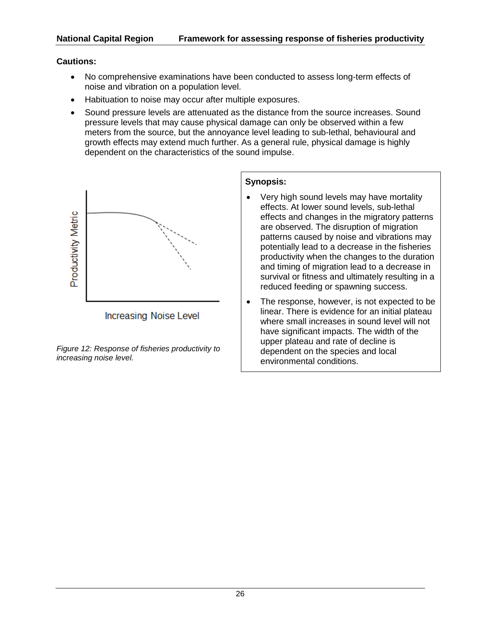## **Cautions:**

- No comprehensive examinations have been conducted to assess long-term effects of noise and vibration on a population level.
- Habituation to noise may occur after multiple exposures.
- Sound pressure levels are attenuated as the distance from the source increases. Sound pressure levels that may cause physical damage can only be observed within a few meters from the source, but the annoyance level leading to sub-lethal, behavioural and growth effects may extend much further. As a general rule, physical damage is highly dependent on the characteristics of the sound impulse.



*Figure 12: Response of fisheries productivity to increasing noise level.*

- Very high sound levels may have mortality effects. At lower sound levels, sub-lethal effects and changes in the migratory patterns are observed. The disruption of migration patterns caused by noise and vibrations may potentially lead to a decrease in the fisheries productivity when the changes to the duration and timing of migration lead to a decrease in survival or fitness and ultimately resulting in a reduced feeding or spawning success.
- The response, however, is not expected to be linear. There is evidence for an initial plateau where small increases in sound level will not have significant impacts. The width of the upper plateau and rate of decline is dependent on the species and local environmental conditions.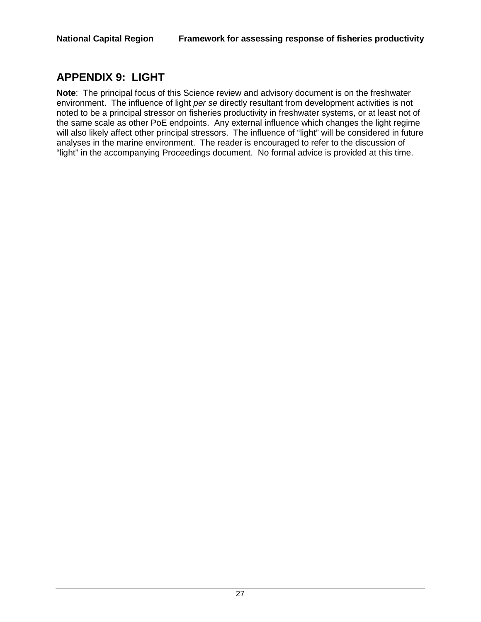# **APPENDIX 9: LIGHT**

**Note**: The principal focus of this Science review and advisory document is on the freshwater environment. The influence of light *per se* directly resultant from development activities is not noted to be a principal stressor on fisheries productivity in freshwater systems, or at least not of the same scale as other PoE endpoints. Any external influence which changes the light regime will also likely affect other principal stressors. The influence of "light" will be considered in future analyses in the marine environment. The reader is encouraged to refer to the discussion of "light" in the accompanying Proceedings document. No formal advice is provided at this time.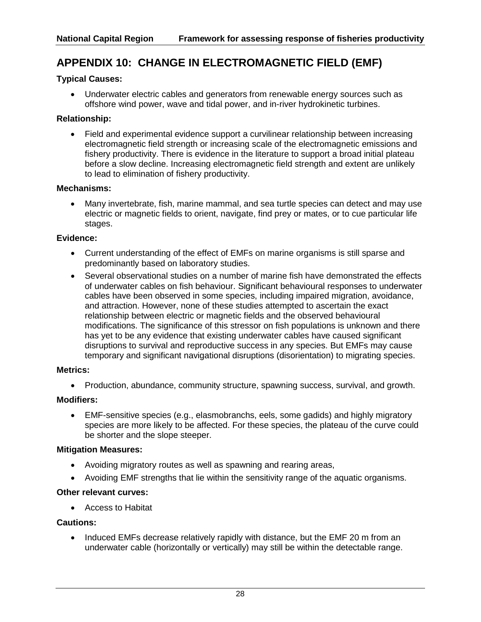# **APPENDIX 10: CHANGE IN ELECTROMAGNETIC FIELD (EMF)**

## **Typical Causes:**

• Underwater electric cables and generators from renewable energy sources such as offshore wind power, wave and tidal power, and in-river hydrokinetic turbines.

## **Relationship:**

• Field and experimental evidence support a curvilinear relationship between increasing electromagnetic field strength or increasing scale of the electromagnetic emissions and fishery productivity. There is evidence in the literature to support a broad initial plateau before a slow decline. Increasing electromagnetic field strength and extent are unlikely to lead to elimination of fishery productivity.

## **Mechanisms:**

• Many invertebrate, fish, marine mammal, and sea turtle species can detect and may use electric or magnetic fields to orient, navigate, find prey or mates, or to cue particular life stages.

## **Evidence:**

- Current understanding of the effect of EMFs on marine organisms is still sparse and predominantly based on laboratory studies.
- Several observational studies on a number of marine fish have demonstrated the effects of underwater cables on fish behaviour. Significant behavioural responses to underwater cables have been observed in some species, including impaired migration, avoidance, and attraction. However, none of these studies attempted to ascertain the exact relationship between electric or magnetic fields and the observed behavioural modifications. The significance of this stressor on fish populations is unknown and there has yet to be any evidence that existing underwater cables have caused significant disruptions to survival and reproductive success in any species. But EMFs may cause temporary and significant navigational disruptions (disorientation) to migrating species.

## **Metrics:**

• Production, abundance, community structure, spawning success, survival, and growth.

## **Modifiers:**

• EMF-sensitive species (e.g., elasmobranchs, eels, some gadids) and highly migratory species are more likely to be affected. For these species, the plateau of the curve could be shorter and the slope steeper.

## **Mitigation Measures:**

- Avoiding migratory routes as well as spawning and rearing areas,
- Avoiding EMF strengths that lie within the sensitivity range of the aquatic organisms.

## **Other relevant curves:**

• Access to Habitat

## **Cautions:**

• Induced EMFs decrease relatively rapidly with distance, but the EMF 20 m from an underwater cable (horizontally or vertically) may still be within the detectable range.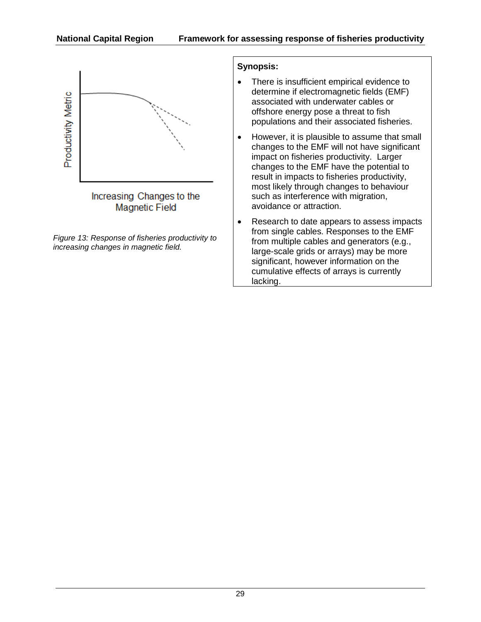

*Figure 13: Response of fisheries productivity to increasing changes in magnetic field.*

- There is insufficient empirical evidence to determine if electromagnetic fields (EMF) associated with underwater cables or offshore energy pose a threat to fish populations and their associated fisheries.
- However, it is plausible to assume that small changes to the EMF will not have significant impact on fisheries productivity. Larger changes to the EMF have the potential to result in impacts to fisheries productivity, most likely through changes to behaviour such as interference with migration, avoidance or attraction.
- Research to date appears to assess impacts from single cables. Responses to the EMF from multiple cables and generators (e.g., large-scale grids or arrays) may be more significant, however information on the cumulative effects of arrays is currently lacking.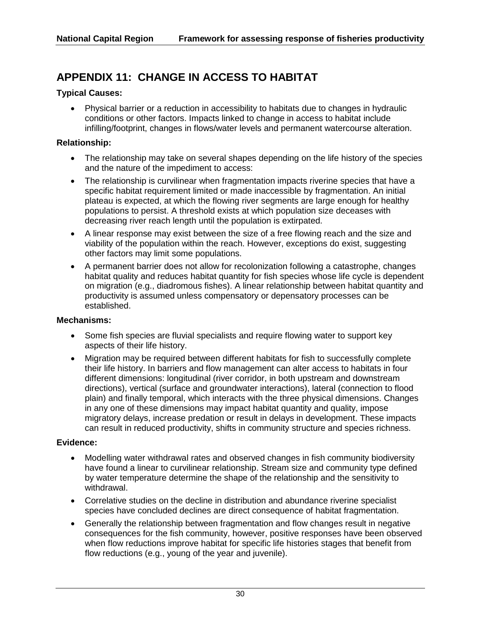# **APPENDIX 11: CHANGE IN ACCESS TO HABITAT**

## **Typical Causes:**

• Physical barrier or a reduction in accessibility to habitats due to changes in hydraulic conditions or other factors. Impacts linked to change in access to habitat include infilling/footprint, changes in flows/water levels and permanent watercourse alteration.

### **Relationship:**

- The relationship may take on several shapes depending on the life history of the species and the nature of the impediment to access:
- The relationship is curvilinear when fragmentation impacts riverine species that have a specific habitat requirement limited or made inaccessible by fragmentation. An initial plateau is expected, at which the flowing river segments are large enough for healthy populations to persist. A threshold exists at which population size deceases with decreasing river reach length until the population is extirpated.
- A linear response may exist between the size of a free flowing reach and the size and viability of the population within the reach. However, exceptions do exist, suggesting other factors may limit some populations.
- A permanent barrier does not allow for recolonization following a catastrophe, changes habitat quality and reduces habitat quantity for fish species whose life cycle is dependent on migration (e.g., diadromous fishes). A linear relationship between habitat quantity and productivity is assumed unless compensatory or depensatory processes can be established.

## **Mechanisms:**

- Some fish species are fluvial specialists and require flowing water to support key aspects of their life history.
- Migration may be required between different habitats for fish to successfully complete their life history. In barriers and flow management can alter access to habitats in four different dimensions: longitudinal (river corridor, in both upstream and downstream directions), vertical (surface and groundwater interactions), lateral (connection to flood plain) and finally temporal, which interacts with the three physical dimensions. Changes in any one of these dimensions may impact habitat quantity and quality, impose migratory delays, increase predation or result in delays in development. These impacts can result in reduced productivity, shifts in community structure and species richness.

### **Evidence:**

- Modelling water withdrawal rates and observed changes in fish community biodiversity have found a linear to curvilinear relationship. Stream size and community type defined by water temperature determine the shape of the relationship and the sensitivity to withdrawal.
- Correlative studies on the decline in distribution and abundance riverine specialist species have concluded declines are direct consequence of habitat fragmentation.
- Generally the relationship between fragmentation and flow changes result in negative consequences for the fish community, however, positive responses have been observed when flow reductions improve habitat for specific life histories stages that benefit from flow reductions (e.g., young of the year and juvenile).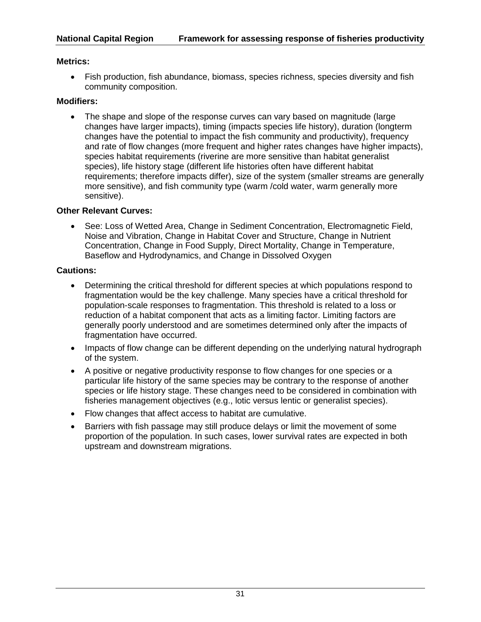## **Metrics:**

• Fish production, fish abundance, biomass, species richness, species diversity and fish community composition.

## **Modifiers:**

• The shape and slope of the response curves can vary based on magnitude (large changes have larger impacts), timing (impacts species life history), duration (longterm changes have the potential to impact the fish community and productivity), frequency and rate of flow changes (more frequent and higher rates changes have higher impacts), species habitat requirements (riverine are more sensitive than habitat generalist species), life history stage (different life histories often have different habitat requirements; therefore impacts differ), size of the system (smaller streams are generally more sensitive), and fish community type (warm /cold water, warm generally more sensitive).

## **Other Relevant Curves:**

• See: Loss of Wetted Area, Change in Sediment Concentration, Electromagnetic Field, Noise and Vibration, Change in Habitat Cover and Structure, Change in Nutrient Concentration, Change in Food Supply, Direct Mortality, Change in Temperature, Baseflow and Hydrodynamics, and Change in Dissolved Oxygen

## **Cautions:**

- Determining the critical threshold for different species at which populations respond to fragmentation would be the key challenge. Many species have a critical threshold for population-scale responses to fragmentation. This threshold is related to a loss or reduction of a habitat component that acts as a limiting factor. Limiting factors are generally poorly understood and are sometimes determined only after the impacts of fragmentation have occurred.
- Impacts of flow change can be different depending on the underlying natural hydrograph of the system.
- A positive or negative productivity response to flow changes for one species or a particular life history of the same species may be contrary to the response of another species or life history stage. These changes need to be considered in combination with fisheries management objectives (e.g., lotic versus lentic or generalist species).
- Flow changes that affect access to habitat are cumulative.
- Barriers with fish passage may still produce delays or limit the movement of some proportion of the population. In such cases, lower survival rates are expected in both upstream and downstream migrations.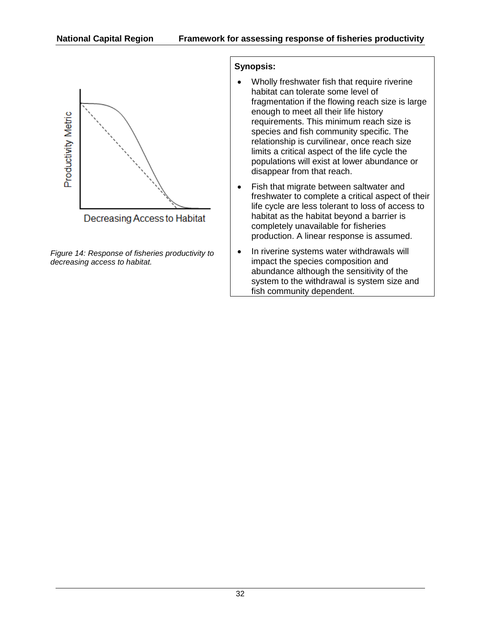

*Figure 14: Response of fisheries productivity to decreasing access to habitat.*

- Wholly freshwater fish that require riverine habitat can tolerate some level of fragmentation if the flowing reach size is large enough to meet all their life history requirements. This minimum reach size is species and fish community specific. The relationship is curvilinear, once reach size limits a critical aspect of the life cycle the populations will exist at lower abundance or disappear from that reach.
- Fish that migrate between saltwater and freshwater to complete a critical aspect of their life cycle are less tolerant to loss of access to habitat as the habitat beyond a barrier is completely unavailable for fisheries production. A linear response is assumed.
- In riverine systems water withdrawals will impact the species composition and abundance although the sensitivity of the system to the withdrawal is system size and fish community dependent.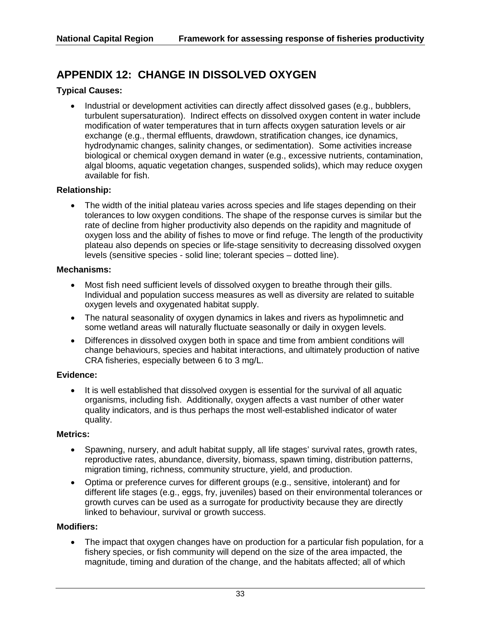# **APPENDIX 12: CHANGE IN DISSOLVED OXYGEN**

## **Typical Causes:**

• Industrial or development activities can directly affect dissolved gases (e.g., bubblers, turbulent supersaturation). Indirect effects on dissolved oxygen content in water include modification of water temperatures that in turn affects oxygen saturation levels or air exchange (e.g., thermal effluents, drawdown, stratification changes, ice dynamics, hydrodynamic changes, salinity changes, or sedimentation). Some activities increase biological or chemical oxygen demand in water (e.g., excessive nutrients, contamination, algal blooms, aquatic vegetation changes, suspended solids), which may reduce oxygen available for fish.

## **Relationship:**

• The width of the initial plateau varies across species and life stages depending on their tolerances to low oxygen conditions. The shape of the response curves is similar but the rate of decline from higher productivity also depends on the rapidity and magnitude of oxygen loss and the ability of fishes to move or find refuge. The length of the productivity plateau also depends on species or life-stage sensitivity to decreasing dissolved oxygen levels (sensitive species - solid line; tolerant species – dotted line).

### **Mechanisms:**

- Most fish need sufficient levels of dissolved oxygen to breathe through their gills. Individual and population success measures as well as diversity are related to suitable oxygen levels and oxygenated habitat supply.
- The natural seasonality of oxygen dynamics in lakes and rivers as hypolimnetic and some wetland areas will naturally fluctuate seasonally or daily in oxygen levels.
- Differences in dissolved oxygen both in space and time from ambient conditions will change behaviours, species and habitat interactions, and ultimately production of native CRA fisheries, especially between 6 to 3 mg/L.

### **Evidence:**

• It is well established that dissolved oxygen is essential for the survival of all aquatic organisms, including fish. Additionally, oxygen affects a vast number of other water quality indicators, and is thus perhaps the most well-established indicator of water quality.

### **Metrics:**

- Spawning, nursery, and adult habitat supply, all life stages' survival rates, growth rates, reproductive rates, abundance, diversity, biomass, spawn timing, distribution patterns, migration timing, richness, community structure, yield, and production.
- Optima or preference curves for different groups (e.g., sensitive, intolerant) and for different life stages (e.g., eggs, fry, juveniles) based on their environmental tolerances or growth curves can be used as a surrogate for productivity because they are directly linked to behaviour, survival or growth success.

### **Modifiers:**

• The impact that oxygen changes have on production for a particular fish population, for a fishery species, or fish community will depend on the size of the area impacted, the magnitude, timing and duration of the change, and the habitats affected; all of which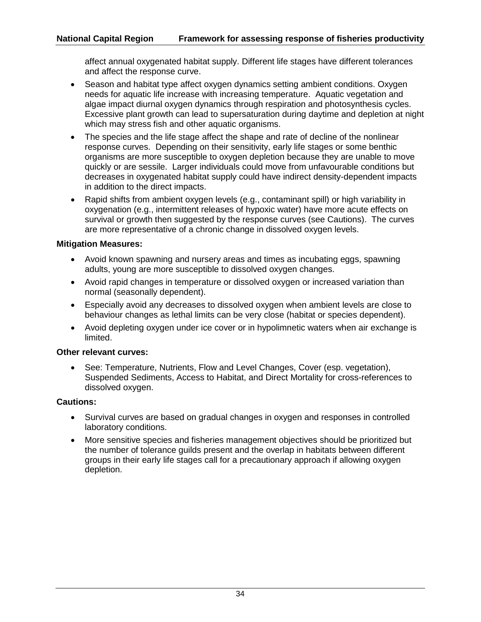affect annual oxygenated habitat supply. Different life stages have different tolerances and affect the response curve.

- Season and habitat type affect oxygen dynamics setting ambient conditions. Oxygen needs for aquatic life increase with increasing temperature. Aquatic vegetation and algae impact diurnal oxygen dynamics through respiration and photosynthesis cycles. Excessive plant growth can lead to supersaturation during daytime and depletion at night which may stress fish and other aquatic organisms.
- The species and the life stage affect the shape and rate of decline of the nonlinear response curves. Depending on their sensitivity, early life stages or some benthic organisms are more susceptible to oxygen depletion because they are unable to move quickly or are sessile. Larger individuals could move from unfavourable conditions but decreases in oxygenated habitat supply could have indirect density-dependent impacts in addition to the direct impacts.
- Rapid shifts from ambient oxygen levels (e.g., contaminant spill) or high variability in oxygenation (e.g., intermittent releases of hypoxic water) have more acute effects on survival or growth then suggested by the response curves (see Cautions). The curves are more representative of a chronic change in dissolved oxygen levels.

## **Mitigation Measures:**

- Avoid known spawning and nursery areas and times as incubating eggs, spawning adults, young are more susceptible to dissolved oxygen changes.
- Avoid rapid changes in temperature or dissolved oxygen or increased variation than normal (seasonally dependent).
- Especially avoid any decreases to dissolved oxygen when ambient levels are close to behaviour changes as lethal limits can be very close (habitat or species dependent).
- Avoid depleting oxygen under ice cover or in hypolimnetic waters when air exchange is limited.

## **Other relevant curves:**

• See: Temperature, Nutrients, Flow and Level Changes, Cover (esp. vegetation), Suspended Sediments, Access to Habitat, and Direct Mortality for cross-references to dissolved oxygen.

## **Cautions:**

- Survival curves are based on gradual changes in oxygen and responses in controlled laboratory conditions.
- More sensitive species and fisheries management objectives should be prioritized but the number of tolerance guilds present and the overlap in habitats between different groups in their early life stages call for a precautionary approach if allowing oxygen depletion.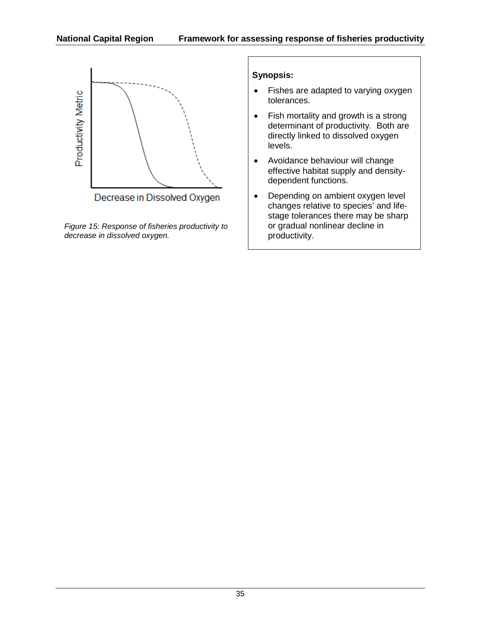

*Figure 15: Response of fisheries productivity to decrease in dissolved oxygen.*

- Fishes are adapted to varying oxygen tolerances.
- Fish mortality and growth is a strong determinant of productivity. Both are directly linked to dissolved oxygen levels.
- Avoidance behaviour will change effective habitat supply and densitydependent functions.
- Depending on ambient oxygen level changes relative to species' and lifestage tolerances there may be sharp or gradual nonlinear decline in productivity.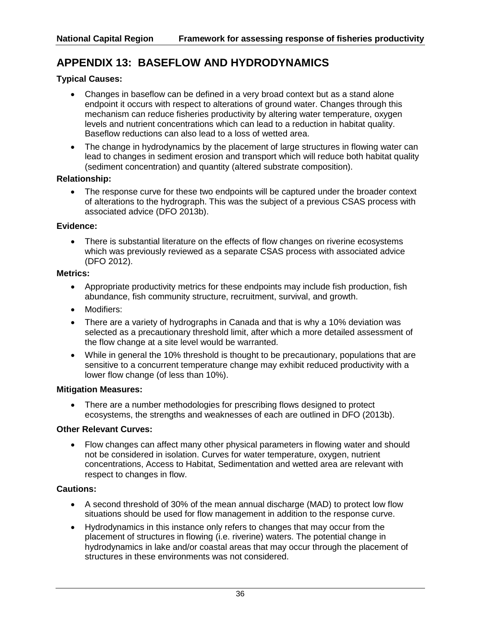# **APPENDIX 13: BASEFLOW AND HYDRODYNAMICS**

## **Typical Causes:**

- Changes in baseflow can be defined in a very broad context but as a stand alone endpoint it occurs with respect to alterations of ground water. Changes through this mechanism can reduce fisheries productivity by altering water temperature, oxygen levels and nutrient concentrations which can lead to a reduction in habitat quality. Baseflow reductions can also lead to a loss of wetted area.
- The change in hydrodynamics by the placement of large structures in flowing water can lead to changes in sediment erosion and transport which will reduce both habitat quality (sediment concentration) and quantity (altered substrate composition).

#### **Relationship:**

• The response curve for these two endpoints will be captured under the broader context of alterations to the hydrograph. This was the subject of a previous CSAS process with associated advice (DFO 2013b).

#### **Evidence:**

• There is substantial literature on the effects of flow changes on riverine ecosystems which was previously reviewed as a separate CSAS process with associated advice (DFO 2012).

#### **Metrics:**

- Appropriate productivity metrics for these endpoints may include fish production, fish abundance, fish community structure, recruitment, survival, and growth.
- Modifiers:
- There are a variety of hydrographs in Canada and that is why a 10% deviation was selected as a precautionary threshold limit, after which a more detailed assessment of the flow change at a site level would be warranted.
- While in general the 10% threshold is thought to be precautionary, populations that are sensitive to a concurrent temperature change may exhibit reduced productivity with a lower flow change (of less than 10%).

### **Mitigation Measures:**

• There are a number methodologies for prescribing flows designed to protect ecosystems, the strengths and weaknesses of each are outlined in DFO (2013b).

### **Other Relevant Curves:**

• Flow changes can affect many other physical parameters in flowing water and should not be considered in isolation. Curves for water temperature, oxygen, nutrient concentrations, Access to Habitat, Sedimentation and wetted area are relevant with respect to changes in flow.

### **Cautions:**

- A second threshold of 30% of the mean annual discharge (MAD) to protect low flow situations should be used for flow management in addition to the response curve.
- Hydrodynamics in this instance only refers to changes that may occur from the placement of structures in flowing (i.e. riverine) waters. The potential change in hydrodynamics in lake and/or coastal areas that may occur through the placement of structures in these environments was not considered.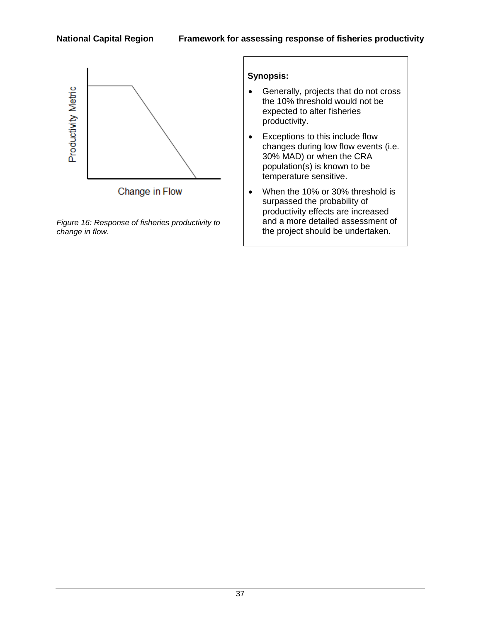

*Figure 16: Response of fisheries productivity to change in flow.*

- Generally, projects that do not cross the 10% threshold would not be expected to alter fisheries productivity.
- Exceptions to this include flow changes during low flow events (i.e. 30% MAD) or when the CRA population(s) is known to be temperature sensitive.
- When the 10% or 30% threshold is surpassed the probability of productivity effects are increased and a more detailed assessment of the project should be undertaken.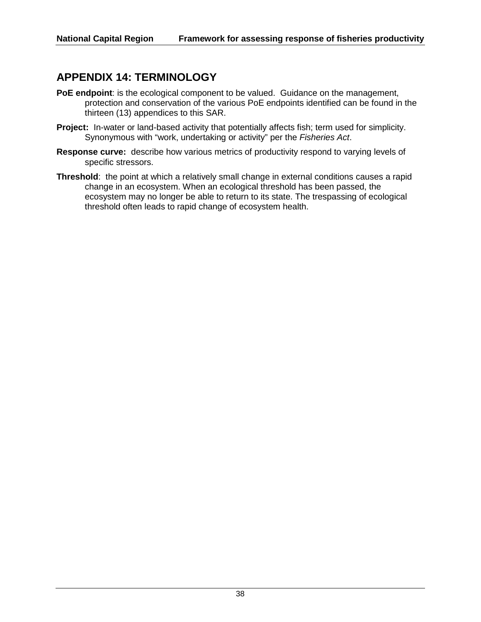# **APPENDIX 14: TERMINOLOGY**

- **PoE endpoint**: is the ecological component to be valued. Guidance on the management, protection and conservation of the various PoE endpoints identified can be found in the thirteen (13) appendices to this SAR.
- **Project:** In-water or land-based activity that potentially affects fish; term used for simplicity. Synonymous with "work, undertaking or activity" per the *Fisheries Act*.
- **Response curve:** describe how various metrics of productivity respond to varying levels of specific stressors.
- **Threshold**: the point at which a relatively small change in external conditions causes a rapid change in an ecosystem. When an ecological threshold has been passed, the ecosystem may no longer be able to return to its state. The trespassing of ecological threshold often leads to rapid change of ecosystem health.